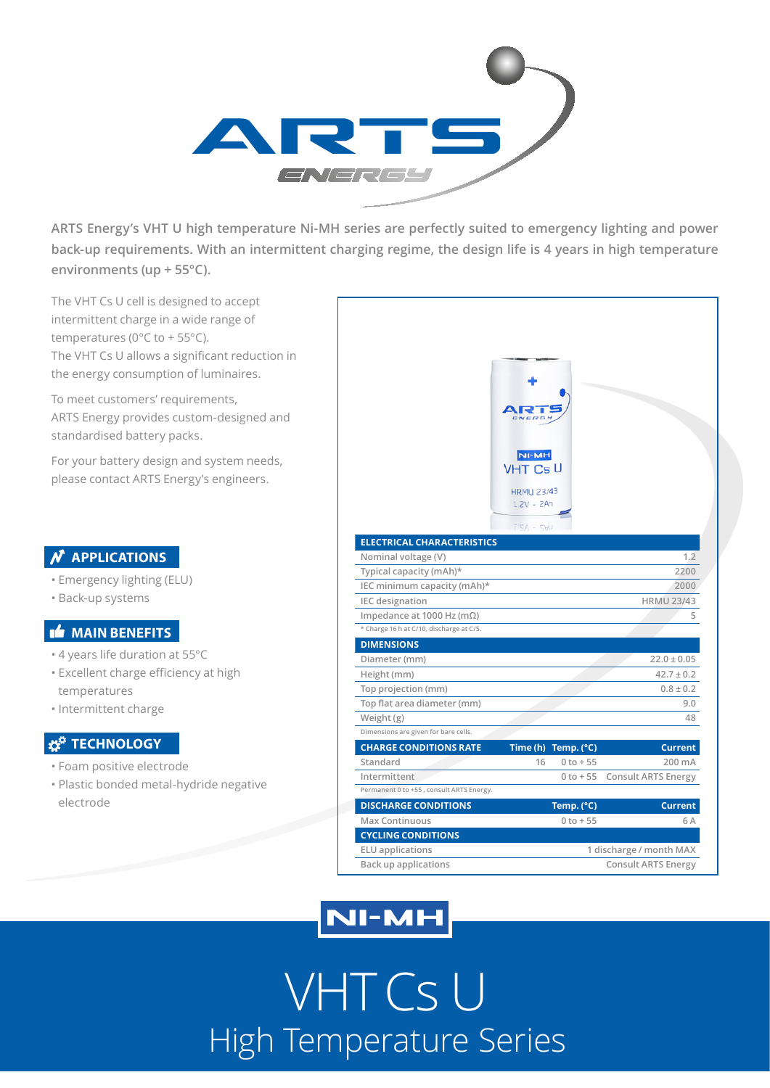

**ARTS Energy's VHT U high temperature Ni-MH series are perfectly suited to emergency lighting and power back-up requirements. With an intermittent charging regime, the design life is 4 years in high temperature environments (up + 55°C).**

The VHT Cs U cell is designed to accept intermittent charge in a wide range of temperatures (0°C to + 55°C). The VHT Cs U allows a significant reduction in the energy consumption of luminaires.

To meet customers' requirements, ARTS Energy provides custom-designed and standardised battery packs.

For your battery design and system needs, please contact ARTS Energy's engineers.

### **N** APPLICATIONS

- Emergency lighting (ELU)
- Back-up systems

#### **MAIN BENEFITS**

- 4 years life duration at 55°C
- Excellent charge efficiency at high temperatures
- Intermittent charge

### **Z<sup>#</sup>** TECHNOLOGY

- Foam positive electrode
- Plastic bonded metal-hydride negative electrode

|                                          | <b>NI-MH</b><br><b>VHT Cs U</b><br><b>HRMU 23/43</b><br>$1.2V - ZAh$<br>$LSV - ZAP$ |                         |                            |  |
|------------------------------------------|-------------------------------------------------------------------------------------|-------------------------|----------------------------|--|
| <b>ELECTRICAL CHARACTERISTICS</b>        |                                                                                     |                         |                            |  |
| Nominal voltage (V)                      |                                                                                     |                         | 1.2                        |  |
| Typical capacity (mAh)*                  |                                                                                     |                         | 2200                       |  |
| IEC minimum capacity (mAh)*              |                                                                                     |                         | 2000                       |  |
| <b>IEC</b> designation                   |                                                                                     |                         | <b>HRMU 23/43</b>          |  |
| Impedance at 1000 Hz (m $\Omega$ )       |                                                                                     |                         | 5                          |  |
| * Charge 16 h at C/10, discharge at C/5. |                                                                                     |                         |                            |  |
| <b>DIMENSIONS</b>                        |                                                                                     |                         |                            |  |
| Diameter (mm)                            |                                                                                     |                         | $22.0 \pm 0.05$            |  |
| Height (mm)                              |                                                                                     |                         | $42.7 \pm 0.2$             |  |
| Top projection (mm)                      |                                                                                     |                         | $0.8 \pm 0.2$              |  |
| Top flat area diameter (mm)              |                                                                                     |                         | 9.0                        |  |
| Weight (g)                               |                                                                                     |                         | 48                         |  |
| Dimensions are given for bare cells.     |                                                                                     |                         |                            |  |
| <b>CHARGE CONDITIONS RATE</b>            |                                                                                     | Time (h) Temp. (°C)     | <b>Current</b>             |  |
| Standard                                 | 16                                                                                  | $0 to + 55$             | 200 mA                     |  |
| Intermittent                             |                                                                                     | $0 to + 55$             | <b>Consult ARTS Energy</b> |  |
| Permanent 0 to +55, consult ARTS Energy. |                                                                                     |                         |                            |  |
| <b>DISCHARGE CONDITIONS</b>              |                                                                                     | Temp. (°C)              | <b>Current</b>             |  |
| <b>Max Continuous</b>                    |                                                                                     | $0$ to $+55$            | 6 A                        |  |
| <b>CYCLING CONDITIONS</b>                |                                                                                     |                         |                            |  |
| <b>ELU</b> applications                  |                                                                                     | 1 discharge / month MAX |                            |  |
| <b>Back up applications</b>              |                                                                                     |                         | <b>Consult ARTS Energy</b> |  |

## **NI-MH**

VHT Cs U High Temperature Series